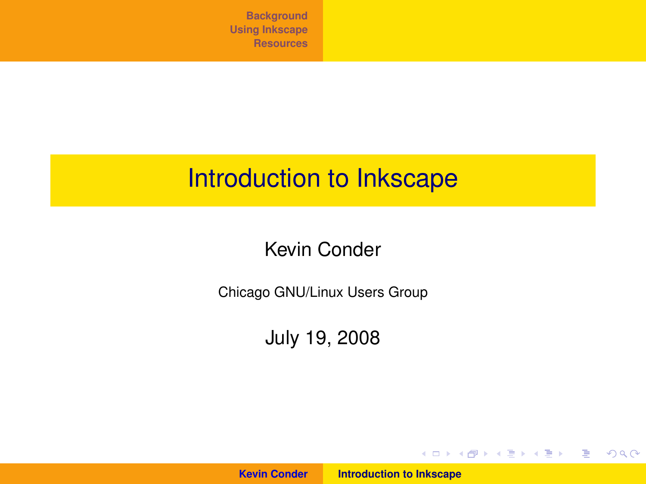## Introduction to Inkscape

#### Kevin Conder

Chicago GNU/Linux Users Group

July 19, 2008

**Kevin Conder [Introduction to Inkscape](#page-26-0)**

<span id="page-0-0"></span>イロメ イ団 トイミメ イモメー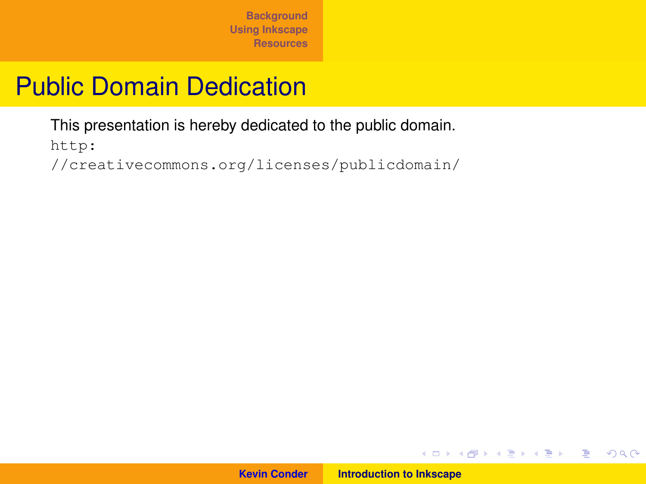## Public Domain Dedication

[This presentation is hereby dedicated to the public domain.](http://creativecommons.org/licenses/publicdomain/)

http:

[//creativecommons.org/licenses/publicdomain/](http://creativecommons.org/licenses/publicdomain/)



イロメ イ団メ イヨメ イヨメー

 $E = \Omega Q$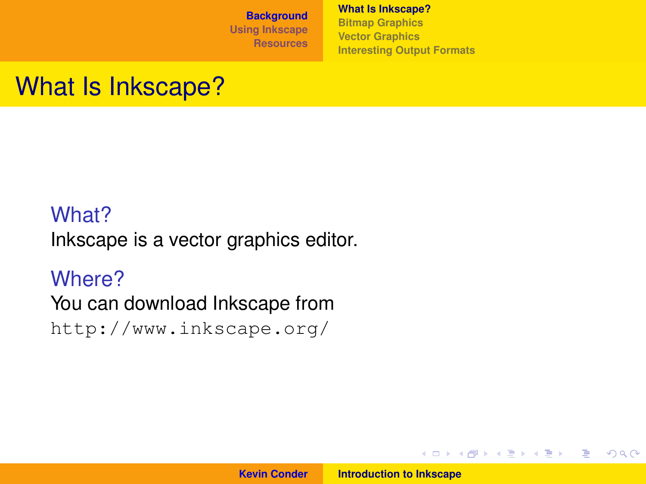**[What Is Inkscape?](#page-2-0) [Bitmap Graphics](#page-3-0) [Vector Graphics](#page-4-0) [Interesting Output Formats](#page-5-0)**

## What Is Inkscape?

#### What?

Inkscape is a vector graphics editor.

#### Where?

You can download Inkscape from

<http://www.inkscape.org/>

イロメ イ部メ イ君メ イ君メー

<span id="page-2-0"></span>重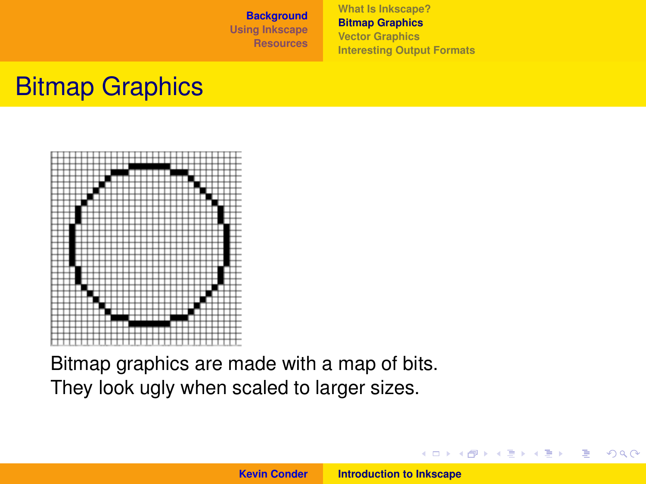**[What Is Inkscape?](#page-2-0) [Bitmap Graphics](#page-3-0) [Vector Graphics](#page-4-0) [Interesting Output Formats](#page-5-0)**

## Bitmap Graphics



Bitmap graphics are made with a map of bits. They look ugly when scaled to larger sizes.

イロメ イ部メ イヨメ イヨメー

 $2Q$ 

<span id="page-3-0"></span>Þ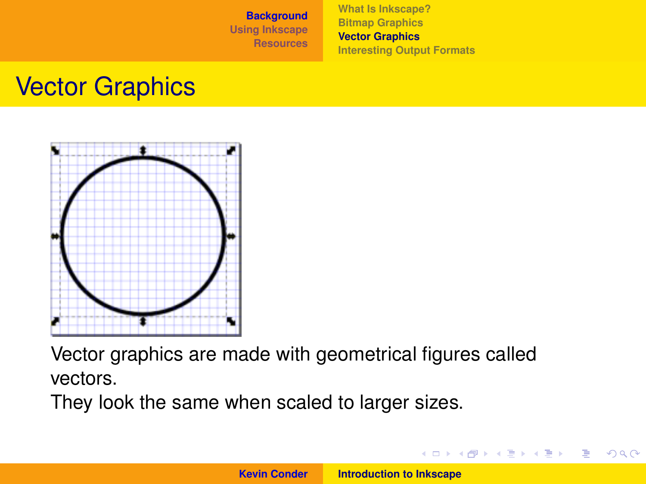**[What Is Inkscape?](#page-2-0) [Bitmap Graphics](#page-3-0) [Vector Graphics](#page-4-0) [Interesting Output Formats](#page-5-0)**

### Vector Graphics



Vector graphics are made with geometrical figures called vectors.

They look the same when scaled to larger sizes.

イロメ イ団メ イヨメ イヨメー

<span id="page-4-0"></span>重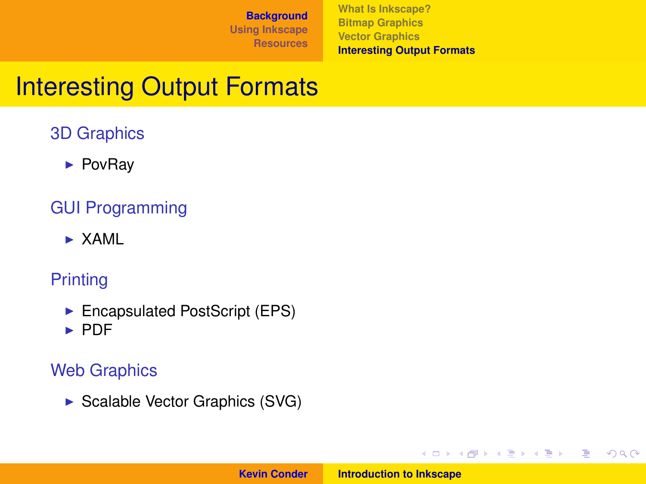**[What Is Inkscape?](#page-2-0) [Bitmap Graphics](#page-3-0) [Vector Graphics](#page-4-0) [Interesting Output Formats](#page-5-0)**

イロメ イ部メ イヨメ イヨメー

重

<span id="page-5-0"></span> $298$ 

## Interesting Output Formats

#### 3D Graphics

 $\blacktriangleright$  PovRay

#### GUI Programming

 $\triangleright$  XAML

#### **Printing**

- $\blacktriangleright$  Encapsulated PostScript (EPS)
- $\blacktriangleright$  PDF

#### Web Graphics

 $\triangleright$  Scalable Vector Graphics (SVG)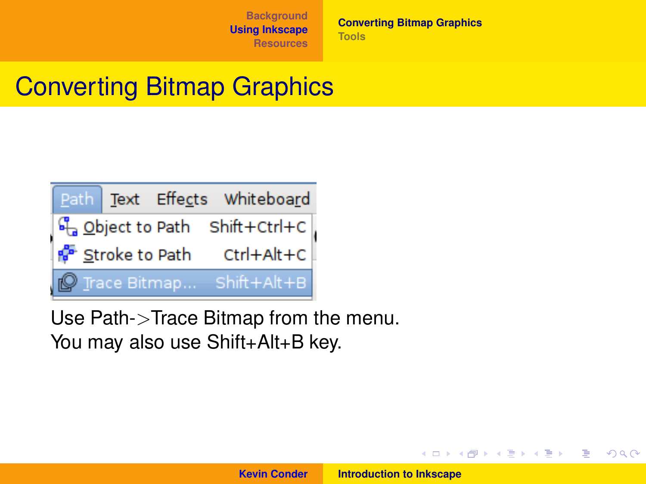**[Converting Bitmap Graphics](#page-6-0) [Tools](#page-7-0)**

## Converting Bitmap Graphics



Use Path->Trace Bitmap from the menu. You may also use Shift+Alt+B key.

**Kevin Conder [Introduction to Inkscape](#page-0-0)**

K ロ ▶ K 御 ▶ K 唐 ▶ K 唐 ▶ .

<span id="page-6-0"></span>重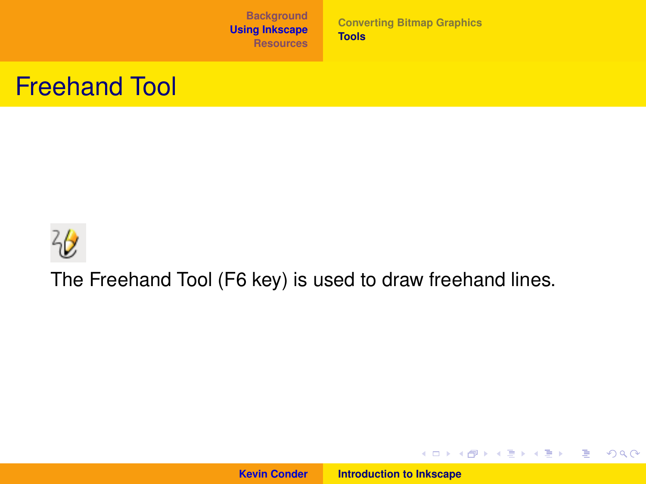**[Converting Bitmap Graphics](#page-6-0) [Tools](#page-7-0)**

#### Freehand Tool



The Freehand Tool (F6 key) is used to draw freehand lines.

**Kevin Conder [Introduction to Inkscape](#page-0-0)**

<span id="page-7-0"></span>イロトメ 御 トメ 君 トメ 君 トー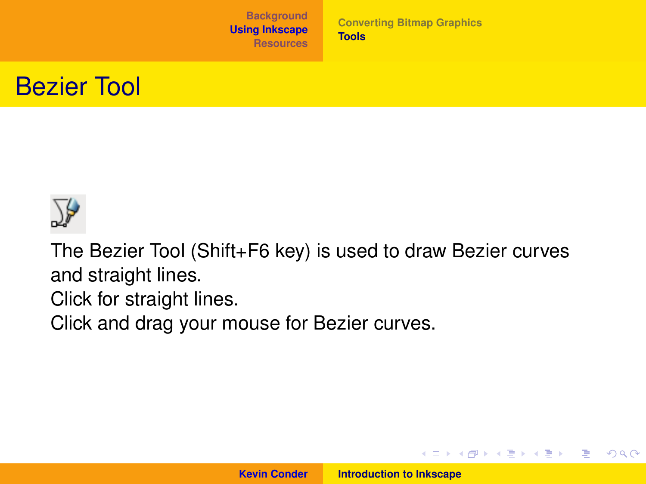**[Converting Bitmap Graphics](#page-6-0) [Tools](#page-7-0)**





The Bezier Tool (Shift+F6 key) is used to draw Bezier curves and straight lines.

Click for straight lines.

Click and drag your mouse for Bezier curves.

イロメ イ部メ イ君メ イ君メー

重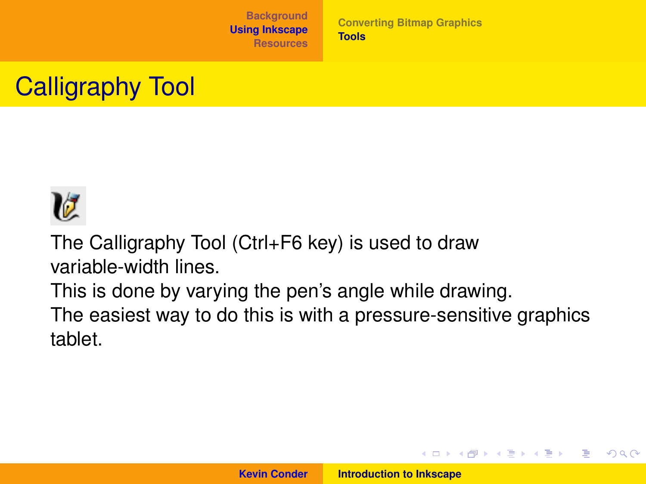**[Converting Bitmap Graphics](#page-6-0) [Tools](#page-7-0)**

## Calligraphy Tool



The Calligraphy Tool (Ctrl+F6 key) is used to draw variable-width lines.

This is done by varying the pen's angle while drawing. The easiest way to do this is with a pressure-sensitive graphics tablet.

イロメ イ部メ イヨメ イヨメー

重

 $QQ$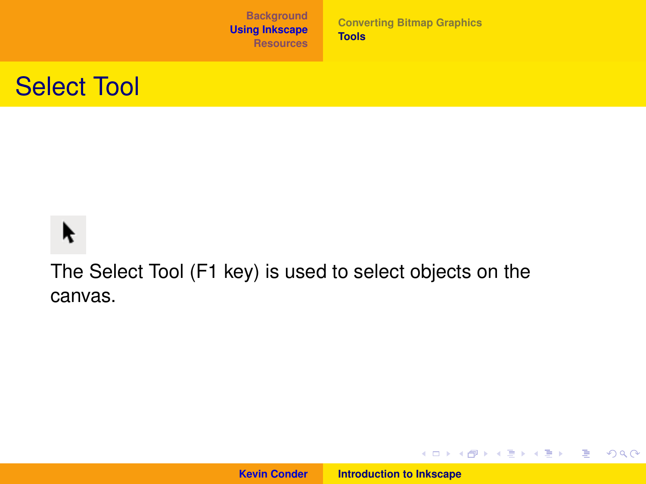**[Converting Bitmap Graphics](#page-6-0) [Tools](#page-7-0)**

#### Select Tool

# K

The Select Tool (F1 key) is used to select objects on the canvas.

**Kevin Conder [Introduction to Inkscape](#page-0-0)**

イロトメ 御 トメ 君 トメ 君 トー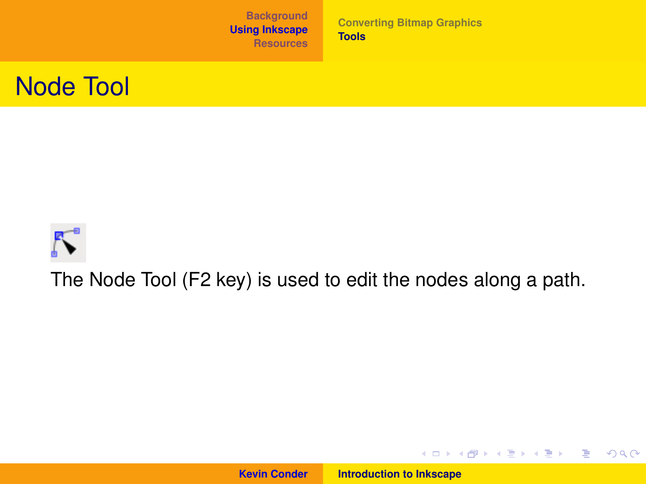**[Converting Bitmap Graphics](#page-6-0) [Tools](#page-7-0)**





The Node Tool (F2 key) is used to edit the nodes along a path.

**Kevin Conder [Introduction to Inkscape](#page-0-0)**

イロトメ 御 トメ 君 トメ 君 トー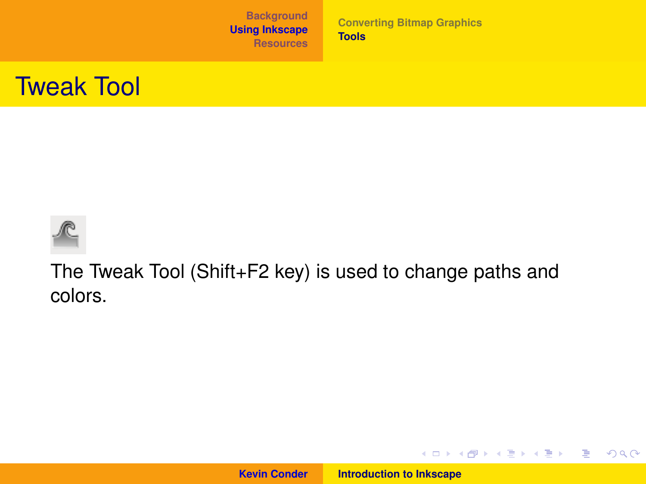**[Converting Bitmap Graphics](#page-6-0) [Tools](#page-7-0)**

#### Tweak Tool



The Tweak Tool (Shift+F2 key) is used to change paths and colors.

**Kevin Conder [Introduction to Inkscape](#page-0-0)**

イロトス 伊 トス 言 トス 言 トー

重。  $298$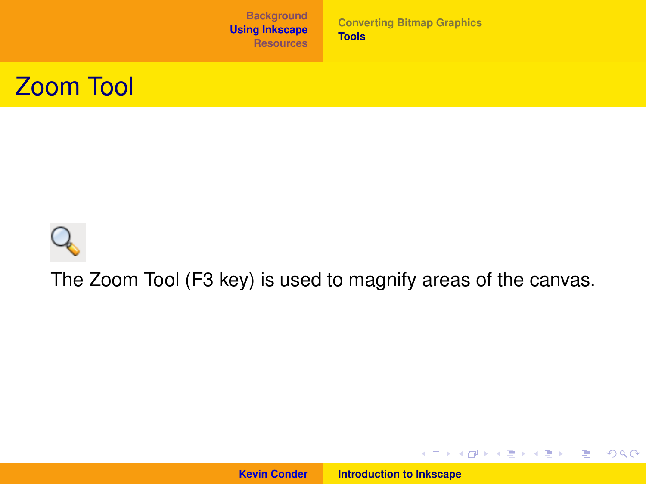**[Converting Bitmap Graphics](#page-6-0) [Tools](#page-7-0)**





The Zoom Tool (F3 key) is used to magnify areas of the canvas.

**Kevin Conder [Introduction to Inkscape](#page-0-0)**

イロトメ 御 トメ 君 トメ 君 トー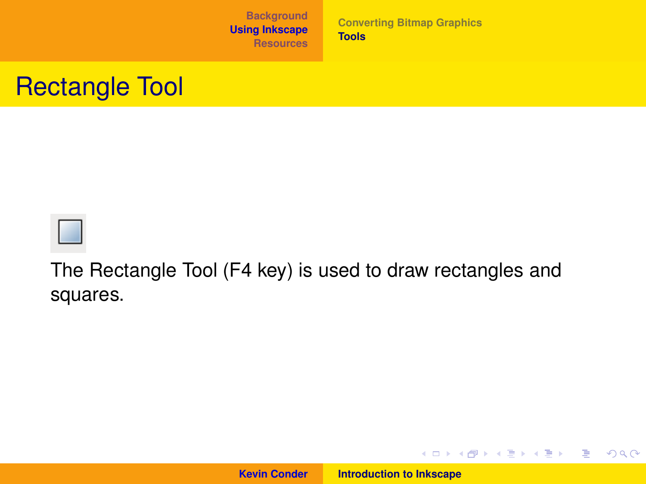**[Converting Bitmap Graphics](#page-6-0) [Tools](#page-7-0)**

#### Rectangle Tool



The Rectangle Tool (F4 key) is used to draw rectangles and squares.

**Kevin Conder [Introduction to Inkscape](#page-0-0)**

イロトメ 御 トメ 君 トメ 君 トー

■ 1  $298$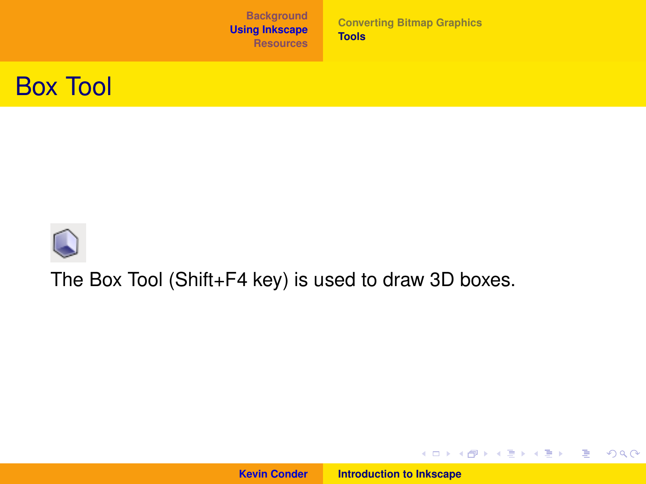**[Converting Bitmap Graphics](#page-6-0) [Tools](#page-7-0)**





#### The Box Tool (Shift+F4 key) is used to draw 3D boxes.

**Kevin Conder [Introduction to Inkscape](#page-0-0)**

イロトメ 御 トメ 君 トメ 君 トー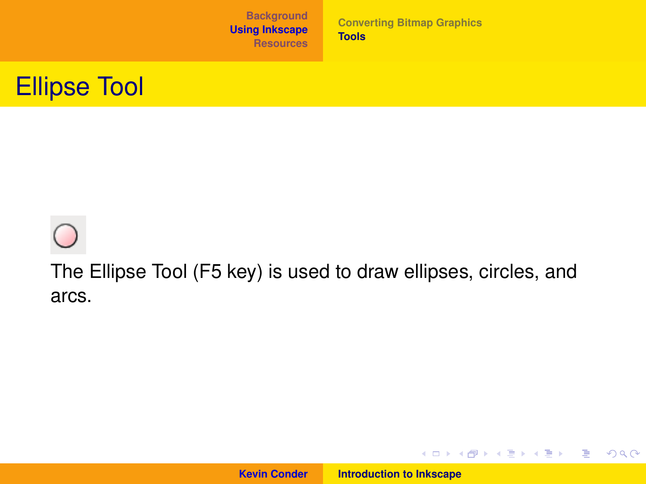**[Converting Bitmap Graphics](#page-6-0) [Tools](#page-7-0)**

#### Ellipse Tool

The Ellipse Tool (F5 key) is used to draw ellipses, circles, and arcs.

**Kevin Conder [Introduction to Inkscape](#page-0-0)**

イロトメ 御 トメ 君 トメ 君 トー

■  $298$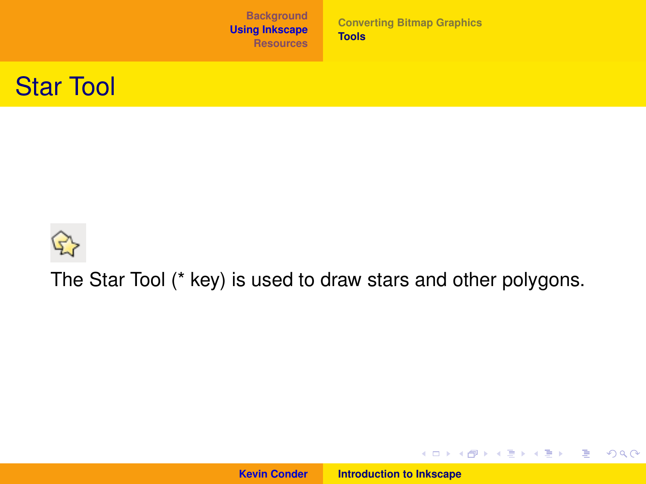**[Converting Bitmap Graphics](#page-6-0) [Tools](#page-7-0)**





The Star Tool (\* key) is used to draw stars and other polygons.

**Kevin Conder [Introduction to Inkscape](#page-0-0)**

イロトメ 御 トメ 君 トメ 君 トー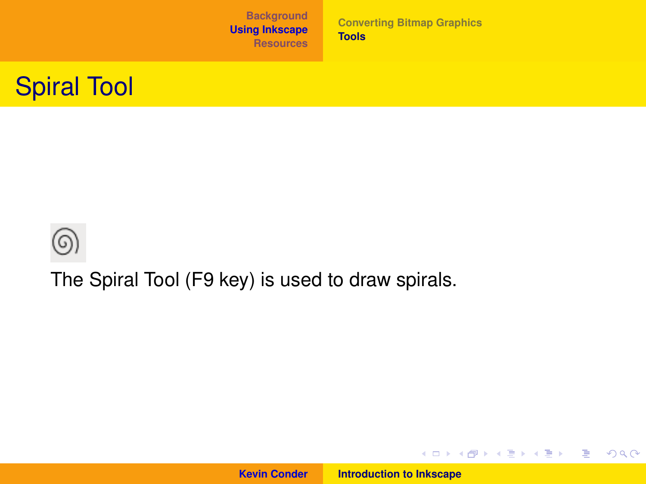**[Converting Bitmap Graphics](#page-6-0) [Tools](#page-7-0)**





The Spiral Tool (F9 key) is used to draw spirals.

**Kevin Conder [Introduction to Inkscape](#page-0-0)**

イロトス 伊 トス 言 トス 言 トー

■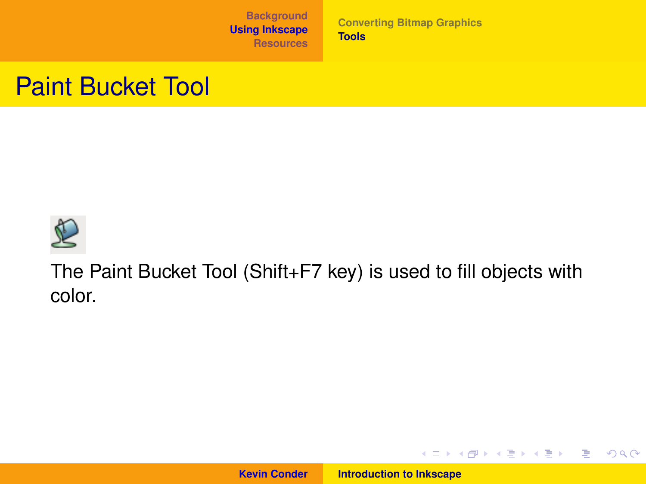**[Converting Bitmap Graphics](#page-6-0) [Tools](#page-7-0)**

#### Paint Bucket Tool



The Paint Bucket Tool (Shift+F7 key) is used to fill objects with color.

**Kevin Conder [Introduction to Inkscape](#page-0-0)**

イロトス 伊 トス 言 トス 言 トー

■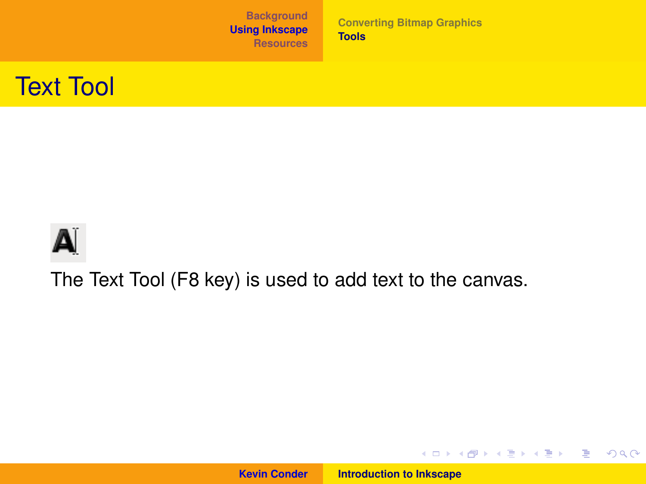**[Converting Bitmap Graphics](#page-6-0) [Tools](#page-7-0)**





The Text Tool (F8 key) is used to add text to the canvas.

**Kevin Conder [Introduction to Inkscape](#page-0-0)**

イロトメ 御 トメ 君 トメ 君 トー

唐山  $2QQ$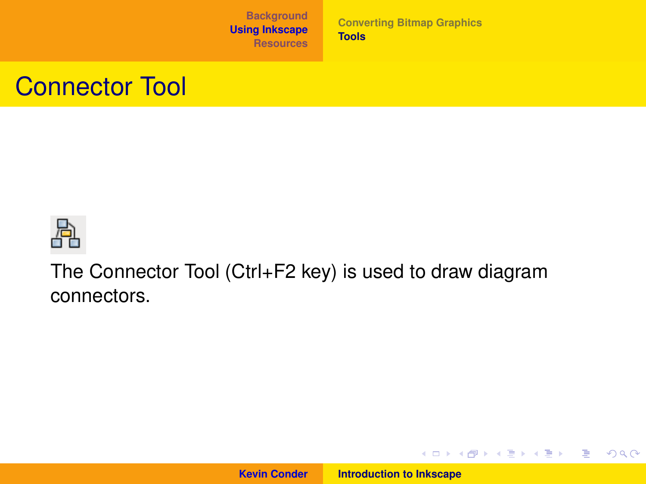**[Converting Bitmap Graphics](#page-6-0) [Tools](#page-7-0)**

#### Connector Tool



The Connector Tool (Ctrl+F2 key) is used to draw diagram connectors.

**Kevin Conder [Introduction to Inkscape](#page-0-0)**

イロトス 伊 トス 言 トス 言 トー

■  $2QQ$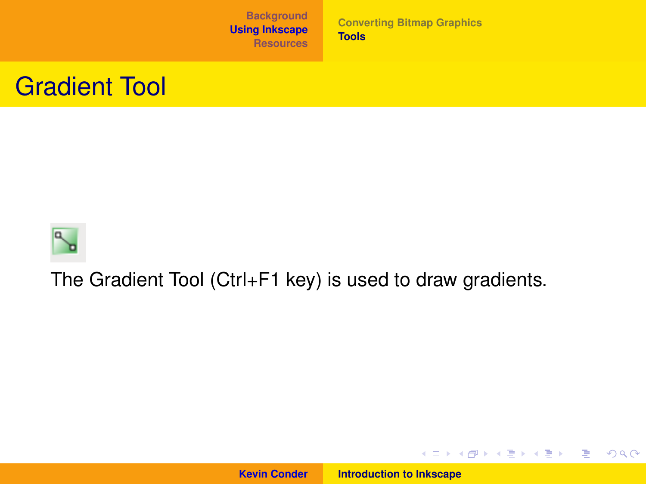**[Converting Bitmap Graphics](#page-6-0) [Tools](#page-7-0)**

#### Gradient Tool



The Gradient Tool (Ctrl+F1 key) is used to draw gradients.

**Kevin Conder [Introduction to Inkscape](#page-0-0)**

イロトス 伊 トス 言 トス 言 トー

■  $2QQ$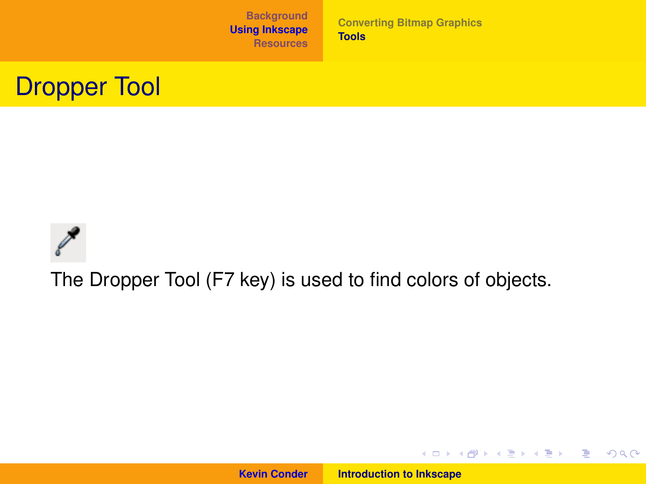**[Converting Bitmap Graphics](#page-6-0) [Tools](#page-7-0)**

## Dropper Tool



The Dropper Tool (F7 key) is used to find colors of objects.

**Kevin Conder [Introduction to Inkscape](#page-0-0)**

イロトメ 御 トメ 君 トメ 君 トー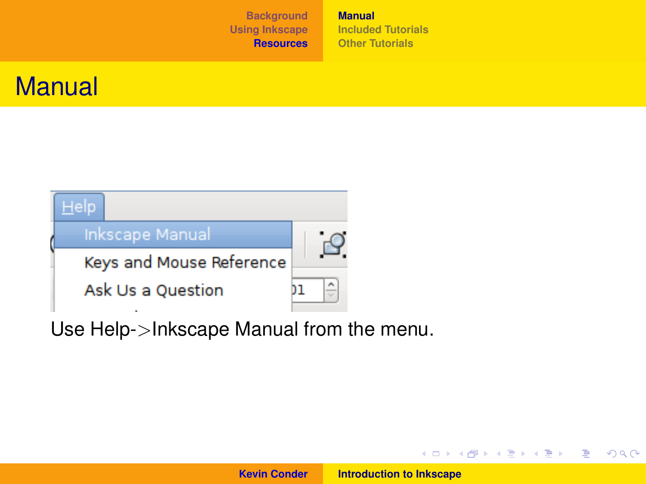**[Manual](#page-24-0) [Included Tutorials](#page-25-0) [Other Tutorials](#page-26-0)**

### **Manual**



Use Help->Inkscape Manual from the menu.

**Kevin Conder [Introduction to Inkscape](#page-0-0)**

イロトス 伊 トス 言 トス 言 トー

<span id="page-24-0"></span>重。  $2Q$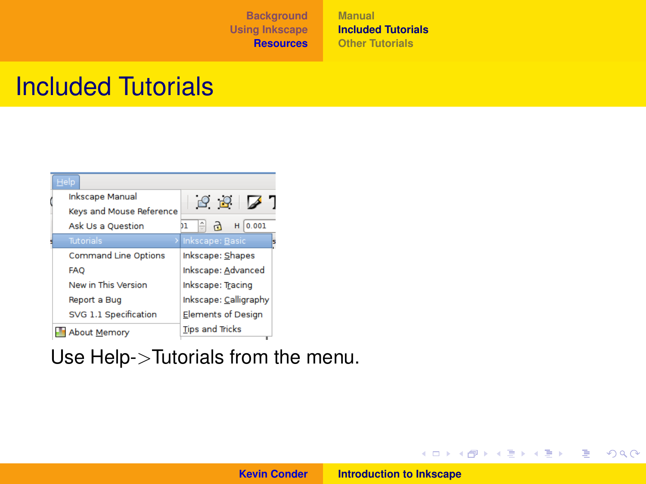**[Manual](#page-24-0) [Included Tutorials](#page-25-0) [Other Tutorials](#page-26-0)**

### Included Tutorials

| $He$ lp                     |                            |
|-----------------------------|----------------------------|
| <b>Inkscape Manual</b>      | 997                        |
| Keys and Mouse Reference    |                            |
| <b>Ask Us a Question</b>    | ÷<br>H<br>0.001<br>۳<br>בנ |
| Tutorials                   | > Inkscape: Basic<br>Б     |
| <b>Command Line Options</b> | Inkscape: Shapes           |
| <b>FAO</b>                  | Inkscape: Advanced         |
| New in This Version         | Inkscape: Tracing          |
| Report a Bug                | Inkscape: Calligraphy      |
| SVG 1.1 Specification       | <b>Elements of Design</b>  |
| <b>About Memory</b>         | <b>Tips and Tricks</b>     |

Use Help->Tutorials from the menu.

**Kevin Conder [Introduction to Inkscape](#page-0-0)**

<span id="page-25-0"></span>イロトメ 御 トメ 君 トメ 君 トー